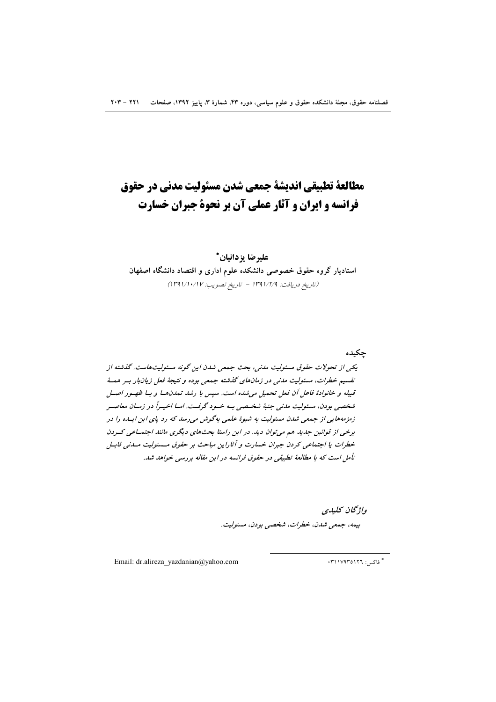# مطالعة تطبيقي انديشة جمعي شدن مسئوليت مدنى در حقوق فرانسه و ایران و آثار عملی آن بر نحوهٔ جبران خسارت

# عليرضا يزدانيان\* استادیار گروه حقوق خصوصی دانشکده علوم اداری و اقتصاد دانشگاه اصفهان (تاريخ دريافت: ١٣٩١/٢/٩ - تاريخ تصويب: ١٣٩١/١٠/١٧)

حكىدە

یکی از تحولات حقوق مسئولیت مدنی، بحث جمعی شدن این گونه مسئولیتهاست. گذشته از تقسیم خطرات، مسئولیت مدنی در زمانهای گذشته جمعی بوده و نتیجهٔ فعل زیان بار بهر همهٔ قبیله و خانوادهٔ فاعل آن فعل تحمیل می شده است. سپس با رشد تمدنها و با ظهـور اصـل شخصی بودن، مسئولیت مدنی جنبهٔ شخیصی بسه خسود گرفت. امیا اخیبراً در زمیان معاصیر زمزمههایی از جمعی شدن مسئولیت به شیوهٔ علمی بهگوش میرسد که رد پای این ایله را در برخی از قوانین جدید هم می توان دید. در این راستا بحثهای دیگری مانند اجتماعی کسردن خطرات يا اجتماعي كردن جبران خسارت و آثاراين مباحث بر حقوق مسئوليت مسدني قابيل تأمل است که با مطالعهٔ تطبیقی در حقوق فرانسه در این مقاله بررسی خواهد شد.

> واژىحان كىلىدى بيمە، جمعى شدن، خطرات، شخصى بودن، مسئوليت.

Email: dr.alireza yazdanian@yahoo.com

\* فاکس: ۳۱۱۷۹۳۵۱۲٦.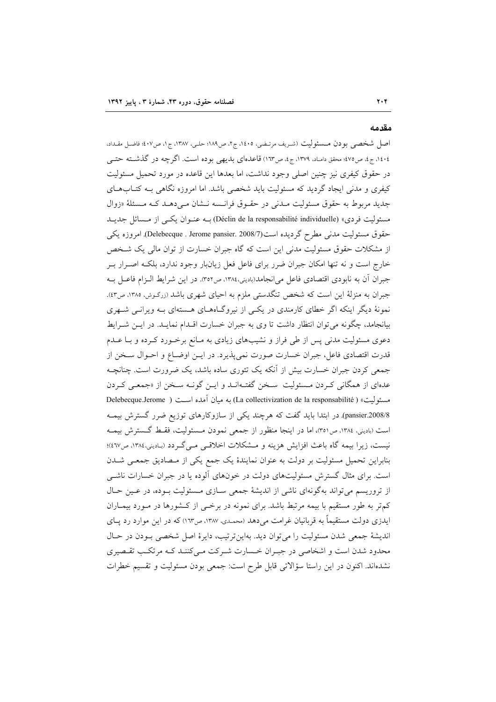#### مقدمه

 $Y \cdot Y$ 

اصل شخصی بودن مـسئولیت (شریف مرتـضی، ۱٤٠٥، ج۲، ص١٨٩؛ حلـی، ١٣٨٧، ج۱، ص٤٠٧؛ فاضـل مقـداد، ،۰۱، ج، ص۷۵؛ محقق دامـد. ۱۳۷۹، ج، ص۱۳۳) قاعدهای بدیهی بوده است. اگرچه در گذشــته حتــی در حقوق كيفري نيز چنين اصلي وجود نداشت، اما بعدها اين قاعده در مورد تحميل مسئوليت کیفری و مدنی ایجاد گردید که مسئولیت باید شخصی باشد. اما امروزه نگاهی بـه کتــابهــای جدید مربوط به حقوق مسئولیت مـدنی در حقـوق فرانـسه نـشان مـی۵هـد کـه مـسئلهٔ «زوال مسئولیت فردی» (Déclin de la responsabilité individuelle) بـه عنــوان یکــی از مــسائل جدیــد حقوق مسئوليت مدني مطرح گرديده است(Nelebecque . Jerome pansier. 2008/7) امروزه يكي از مشکلات حقوق مسئولیت مدنی این است که گاه جبران خسارت از توان مالی یک شـخص خارج است و نه تنها امکان جبران ضرر برای فاعل فعل زیانبار وجود ندارد، بلکـه اصــرار بــر جبران آن به نابودي اقتصادي فاعل مي انجامد(باديني،١٣٨٤، ص٣٥٢). در اين شرايط الـزام فاعـل بـه جبران به منزلهٔ این است که شخص تنگدستی ملزم به احیای شهری باشد (زرگـوش، ۱۳۸۵، ص۱۳). نمونهٔ دیگر اینکه اگر خطای کارمندی در یکبی از نیروگاههـای هـستهای بـه ویرانـبی شـهری بیانجامد، چگونه میتوان انتظار داشت تا وی به جبران خسارت اقــدام نمایــد. در ایــن شــرایط دعوی مسئولیت مدنی پس از طی فراز و نشیبهای زیادی به مـانع برخـورد کـرده و بـا عـدم قدرت اقتصادی فاعل، جبران خسارت صورت نمیپذیرد. در ایـن اوضـاع و احـوال سـخن از جمعی کردن جبران خسارت بیش از آنکه یک تئوری ساده باشد، یک ضرورت است. چنانچـه عدهای از همگانی کردن مسئولیت سخن گفتهانـد و ایـن گونـه سـخن از «جمعـی کـردن مسئوليت» ( La collectivization de la responsabilité) به ميان آمده است ( Delebecque.Jerome pansier.2008/8). در ابتدا باید گفت که هرچند یکی از سازوکارهای توزیع ضرر گسترش بیمه است (بادینی، ۱۳۸٤، ص٣٥١)، اما در اینجا منظور از جمعی نمودن مـسئولیت، فقـط گـسترش بیمـه نيست، زيرا بيمه گاه باعث افزايش هزينه و مـشكلات اخلاقـي مـي گـردد (بـاديني،١٣٨٤، ص٤٦٧؛ بنابراین تحمیل مسئولیت بر دولت به عنوان نمایندهٔ یک جمع یکی از مـصادیق جمعـی شــدن است. برای مثال گسترش مسئولیتهای دولت در خونهای آلوده یا در جبران خسارات ناشبی از تروریسم می تواند بهگونهای ناشی از اندیشهٔ جمعی سازی مسئولیت بوده، در عـین حـال کمتر به طور مستقیم با بیمه مرتبط باشد. برای نمونه در برخـی از کـشورها در مـورد بیمـاران ایدزی دولت مستقیماً به قربانیان غرامت میدهد (محمدی، ۱۳۸۷، ص۱۶۳) که در این موارد رد یـای انديشة جمعي شدن مسئوليت را مي توان ديد. بهاين ترتيب، دايرة اصل شخصي بـودن در حـال محدود شدن است و اشخاصی در جبـران خـسارت شـرکت مـیکننـد کـه مرتکـب تقـصیری نشدهاند. اکنون در این راستا سؤالاتی قابل طرح است: جمعی بودن مسئولیت و تقسیم خطرات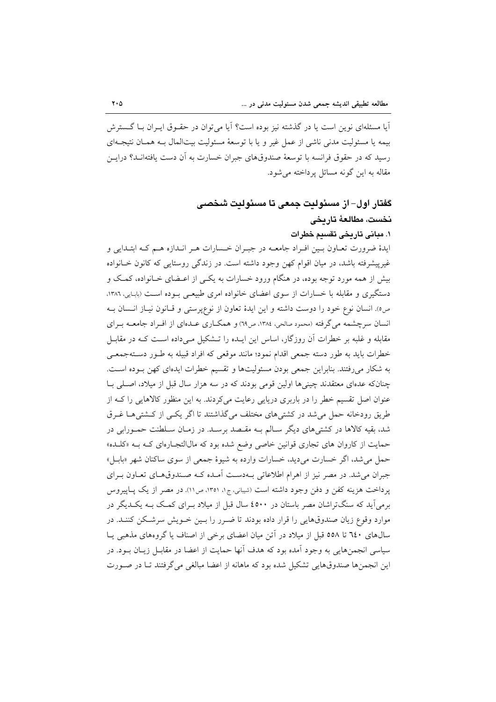آیا مسئلهای نوین است یا در گذشته نیز بوده است؟ آیا می توان در حقـوق ایـران بـا گــسترش بيمه يا مسئوليت مدني ناشي از عمل غير و يا با توسعهٔ مسئوليت بيت|لمال بـه همـان نتيجـه|ي رسید که در حقوق فرانسه با توسعهٔ صندوقهای جبران خسارت به آن دست یافتهانــد؟ درایــن مقاله به این گونه مسائل پرداخته می شود.

# گفتار اول– از مسئولیت جمعی تا مسئولیت شخصبی نخست، مطالعهٔ تاریخی

# ١. مباني تاريخي تقسيم خطرات

ايدهٔ ضرورت تعـاون بـين افـراد جامعــه در جبـران خــسارات هــر انــدازه هــم کــه ابتــدايي و غیرپیشرفته باشد، در میان اقوام کهن وجود داشته است. در زندگی روستایی که کانون خـانواده بیش از همه مورد توجه بوده، در هنگام ورود خسارات به یکـی از اعـضای خـانواده، کمـک و دستگیری و مقابله با خسارات از سوی اعضای خانواده امری طبیعی بـوده اسـت (بابـایی، ۱۳۸۶. صه). انسان نوع خود را دوست داشته و این ایدهٔ تعاون از نوعپرستی و قبانون نیباز انسان بـه انسان سرچشمه می گرفته (محمود صالحی، ١٣٨٤، ص٦٩) و همکـاري عـدهاي از افـراد جامعــه بـراي مقابله و غلبه بر خطرات آن روزگار، اساس این ایــده را تــشکیل مــیداده اســت کــه در مقابــل خطرات بايد به طور دسته جمعي اقدام نمود؛ مانند موقعي كه افراد قبيله به طـور دسـتهجمعـي به شکار میرفتند. بنابراین جمعی بودن مسئولیتها و تقسیم خطرات ایدهای کهن بوده است. چنانکه عدمای معتقدند چینیها اولین قومی بودند که در سه هزار سال قبل از میلاد، اصلبی بـا عنوان اصل تقسیم خطر را در باربری دریایی رعایت می کردند. به این منظور کالاهایی را کـه از طریق رودخانه حمل می شد در کشتی های مختلف می گذاشتند تا اگر یکسی از کـشتی هـا غـرق شد، بقیه کالاها در کشتیهای دیگر سـالم بـه مقـصد برسـد. در زمـان سـلطنت حمـورابی در حمایت از کاروان های تجاری قوانین خاصی وضع شده بود که مالاالتجارهای کـه بـه «کلـده» حمل می شد، اگر خسارت میدید، خسارات وارده به شیوهٔ جمعی از سوی ساکنان شهر «بابـل» جبران می شد. در مصر نیز از اهرام اطلاعاتی بـهدسـت آمـده کـه صـندوقهـای تعـاون بـرای يرداخت هزينه كفن و دفن وجود داشته است (شيباني، ج۱، ١٣٥١، ص١١). در مصر از يک پياپيروس برمیآید که سنگتراشان مصر باستان در ٤٥٠٠ سال قبل از میلاد بـرای کمـک بـه یکـدیگر در موارد وقوع زيان صندوقهايي را قرار داده بودند تا ضـرر را بـين خـويش سرشـكن كننـد. در سال های ٦٤٠ تا ٥٥٨ قبل از ميلاد در آتن ميان اعضای برخی از اصناف يا گروههای مذهبی يـا سیاسی انجمنهایی به وجود اَمده بود که هدف اَنها حمایت از اعضا در مقابـل زیــان بــود. در این انجمنها صندوقهایی تشکیل شده بود که ماهانه از اعضا مبالغی میگرفتند تـا در صـورت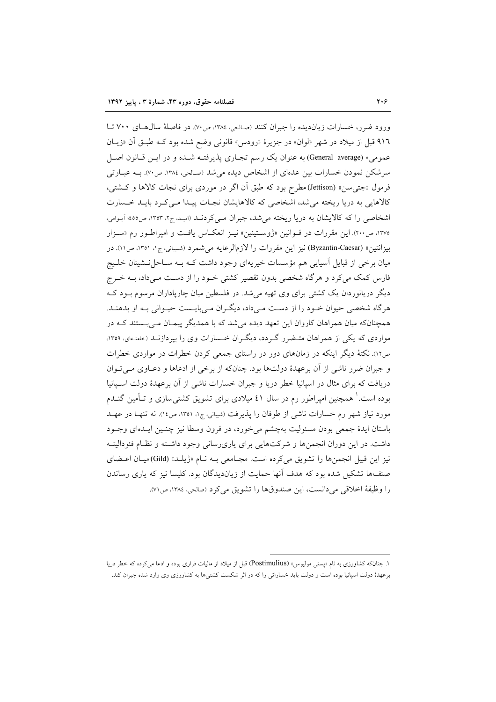ورود ضرر، خسارات زیاندیده را جبران کنند (صالحی، ۱۳۸٤، ص۷۰). در فاصلهٔ سال های ۷۰۰ تـا ۹۱٦ قبل از ميلاد در شهر «لوان» در جزيرهٔ «رودس» قانوني وضع شده بود كـه طبـق أن «زيـان عمومي» (General average) به عنوان يک رسم تجـاري پذيرفتـه شـده و در ايـن قـانون اصـل سرشکن نمودن خسارات بین عدمای از اشخاص دیده می شد (صالحی، ۱۳۸٤، ص۷۰). بــه عبــارتی فرمول «جتی۳ن» (Jettison)مطرح بود که طبق اَن اگر در موردی برای نجات کالاها و کــشتی، کالاهایی به دریا ریخته می شد، اشخاصی که کالاهایشان نجـات پیـدا مـی کـرد بایـد خـسارت اشخاصی را که کالایشان به دریا ریخته میشد، جبران مـیکردنــد (امیـد، ج۲، ۱۳۵۳، ص۱۶۵؛ آیــوامی، ۱۳۷۵، ص۲۰۰). این مقررات در قــوانین «ژوســتینین» نیــز انعکــاس یافــت و امیراطــور رم «ســزار بيزانتين» (Byzantin-Caesar) نيز اين مقررات را لازمالرعايه مي شمرد (شـيباني، ج١، ١٣٥١، ص١١). در میان برخی از قبایل آسیایی هم مؤسسات خیریهای وجود داشت کـه بـه سـاحل نــشینان خلــیج فارس کمک میکرد و هرگاه شخصی بدون تقصیر کشتی خـود را از دسـت مـیداد، بــه خـرج دیگر دریانوردان یک کشتی برای وی تهیه میشد. در فلسطین میان چارپاداران مرسوم بـود کـه هر گاه شخصی حیوان خــود را از دسـت مــیداد، دیگــران مــی بایــست حیــوانی بــه او بدهنــد. همچنانکه میان همراهان کاروان این تعهد دیده میشد که با همدیگر پیمـان مـی بـستند کـه در مواردی که یکی از همراهان متبضرر گردد، دیگران خسارات وی را بیردازنید (حامنهای، ۱۳۵۹، ص۱۲). نکتهٔ دیگر اینکه در زمانهای دور در راستای جمعی کردن خطرات در مواردی خطرات و جبران ضرر ناشی از آن برعهدهٔ دولتها بود. چنانکه از برخی از ادعاها و دعـاوی مـیتـوان دریافت که برای مثال در اسپانیا خطر دریا و جبران خسارات ناشی از آن برعهدهٔ دولت اسـپانیا بوده است. ْ همچنین امیراطور رم در سال ٤١ میلادی برای تشویق کشتی سازی و تــأمین گنــدم مورد نیاز شهر رم خسارات ناشی از طوفان را پذیرفت (شیبانی، ج۱، ۱۳۵۱، ص۱٤). نه تنها در عهـد باستان ايدهٔ جمعي بودن مسئوليت بهچشم مي خورد، در قرون وسطا نيز چنـين ايـدهاي وجـود داشت. در این دوران انجمنها و شرکتهایی برای یاریرسانی وجود داشته و نظام فئودالیته نيز اين قبيل انجمنها را تشويق مي كرده است. مجـامعي بـه نـام «ژيلـد» (Gild) ميـان اعــضاي صنفها تشکیل شده بود که هدف آنها حمایت از زیاندیدگان بود. کلیسا نیز که پاری رساندن را وظيفةُ اخلاقي مي دانست، اين صندوقها را تشويق مي كرد (صالحي، ١٣٨٤، ص٧١).

۱. چنانکه کشاورزی به نام «پستی مولیوس» (Postimulius) قبل از میلاد از مالیات فراری بوده و ادعا می کرده که خطر دریا برعهدهٔ دولت اسپانیا بوده است و دولت باید خساراتی را که در اثر شکست کشتیها به کشاورزی وی وارد شده جبران کند.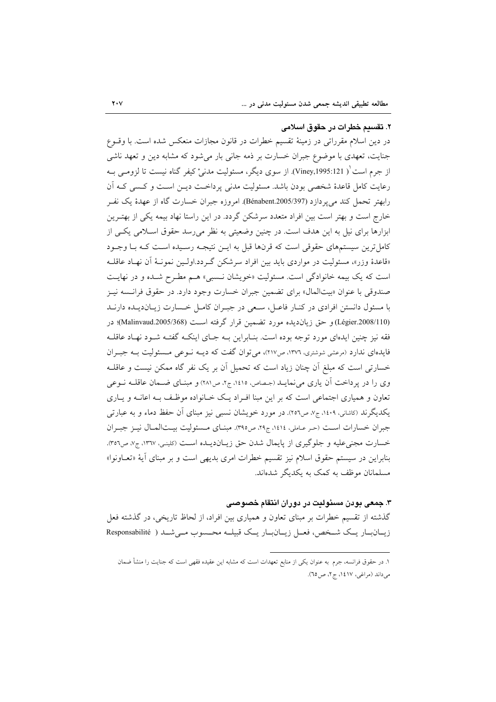٢. تقسيم خطرات در حقوق اسلامى در دین اسلام مقرراتی در زمینهٔ تقسیم خطرات در قانون مجازات منعکس شده است. با وقـوع جنایت، تعهدی با موضوع جبران خسارت بر ذمه جانبی بار میشود که مشابه دین و تعهد ناشبی از جرم است ْ'( Viney,1995:121). از سوی دیگر، مسئولیت مدنیْ کیفر گناه نیست تا لزومـی بــه رعايت كامل قاعدهٔ شخصي بودن باشد. مسئوليت مدني پرداخـت ديــن اسـت و كـسى كــه آن رابهتر تحمل كند مي يردازد (Bénabent.2005/397). امروزه جبران خسارت گاه از عهدهٔ يک نفـر خارج است و بهتر است بین افراد متعدد سرشکن گردد. در این راستا نهاد بیمه یکی از بهتـرین ابزارها برای نیل به این هدف است. در چنین وضعیتی به نظر می رسد حقوق اسلامی یکی از کامل ترین سیستمهای حقوقی است که قرنها قبل به ایــن نتیجــه رسـیده اســت کــه بــا وجــود «قاعدهٔ وزر»، مسئولیت در مواردی باید بین افراد سرشکن گـردد.اولـین نمونـهٔ آن نهـاد عاقلـه است که یک بیمه خانوادگی است. مسئولیت «خویشان نـسبی» هـم مطـرح شـده و در نهایـت صندوقی با عنوان «بیتالمال» برای تضمین جبران خسارت وجود دارد. در حقوق فرانسه نیـز با مسئول دانستن افرادی در کنـار فاعـل، سـعی در جبـران کامـل خـسارت زیـان(دیـده دارنـد (Légier.2008/110) و حق زيان ديده مورد تضمين قرار گرفته است (Malinvaud.2005/368)؛ در فقه نیز چنین ایدهای مورد توجه بوده است. بنـابراین بـه جـای اینکـه گفتـه شـود نهـاد عاقلـه فایدهای ندارد (مرعشی شوشتری، ۱۳۷۲، ص۱۲۷)، می توان گفت که دیسه نسوعی مسسئولیت بسه جب ان خسارتی است که مبلغ آن چنان زیاد است که تحمیل آن بر یک نفر گاه ممکن نیست و عاقلـه وي را در يرداخت آن ياري مي نمايـد (جـصاص، ١٤١٥، ج٢، ص٢٨١) و مبنـاي ضـمان عاقلــه نــوعي تعاون و همیاری اجتماعی است که بر این مبنا افـراد یـک خـانواده موظـف بـه اعانـه و یـاری یکدیگرند (کاشانی، ۱٤٠٩، ج/ ص٢٥٦). در مورد خویشان نسبی نیز مبنای آن حفظ دماء و به عبارتی جبران خسارات است (حر عباملي، ١٤١٤، ج٢٩، ص٣٩٥). مبنياي مسئوليت بيتالمبال نيبز جبران خسارت مجنى عليه و جلوگيري از پايمال شدن حق زيـان(ديـده اسـت (كلينـي، ١٣٦٧، ج٧، ص٣٥٦). بنابراین در سیستم حقوق اسلام نیز تقسیم خطرات امری بدیهی است و بر مبنای آیهٔ «تعـاونوا» مسلمانان موظف به کمک به یکدیگر شدهاند.

#### ۳. جمعی بودن مسئولیت در دوران انتقام خصوصی

گذشته از تقسیم خطرات بر مبنای تعاون و همیاری بین افراد، از لحاظ تاریخی، در گذشته فعل زیــان بــار یــک شــخص، فعــل زیــان بــار یــک قبیلــه محــسوب مــی شــد ( Responsabilité

١. در حقوق فرانسه، جرم به عنوان يكي از منابع تعهدات است كه مشابه اين عقيده فقهي است كه جنايت را منشأ ضمان می داند (مراغی، ۱٤١٧، ج ٢، ص ٢٥).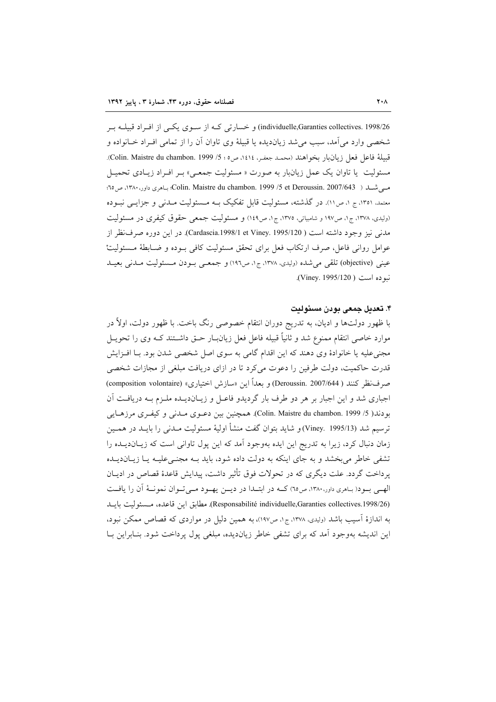individuelle,Garanties collectives. 1998/26) و خسارتی کـه از سـوی یکـی از افـراد قبیلــه بـر شخصی وارد می آمد، سبب می شد زیاندیده یا قبیلهٔ وی تاوان آن را از تمامی افـراد خـانواده و قبيلة فاعل فعل زيانبار بخواهند (محمـد جعفـر، ١٤١٤، ص٥ ؛ 5/ Colin. Maistre du chambon. 1999). مسئولیت یا تاوان یک عمل زیان<sub>ا</sub>بار به صورت « مسئولیت جمعی» بـر افـراد زیـادی تحمیـل مسي شلہ ( Colin. Maistre du chambon. 1999 /5 et Deroussin. 2007/643؛ بناهري داور، ١٣٨٠، ص ٦٥؛ معتمد. ۱۳۵۱، ج ۱. ص۱۱). در گذشته، مسئولیت قابل تفکیک بــه مــسئولیت مــدنی و جزایــی نبــوده (ولیدی، ۱۳۷۸، ج۱، ص۱۹۷ و شامبیاتی، ۱۳۷۵، ج۱، ص۱٤۹) و مسئولیت جمعی حقوق کیفری در مسئولیت مدني نيز وجود داشته است ( Cardascia.1998/1 et Viney. 1995/120). در اين دوره صرف نظر از عوامل رواني فاعل، صرف ارتكاب فعل براي تحقق مسئوليت كافي بـوده و ضـابطة مـسئوليتْ عيني (objective) تلقى مى شده (وليدى، ١٣٧٨، ج١، ص١٩٦) و جمعـى بــودن مــسئوليت مــدنى بعيــد نبو ده است ( Viney. 1995/120).

#### ۴. تعدىل جمعى بودن مسئولىت

با ظهور دولتها و ادیان، به تدریج دوران انتقام خصوصی رنگ باخت. با ظهور دولت، اولاً در موارد خاصی انتقام ممنوع شد و ثانیاً قبیله فاعل فعل زیانبـار حـق داشــتند کـه وی را تحویــل مجنی علیه یا خانوادهٔ وی دهند که این اقدام گامی به سوی اصل شخصی شدن بود. بـا افـزایش قدرت حاکمیت، دولت طرفین را دعوت میکرد تا در ازای دریافت مبلغی از مجازات شخصی صرف نظر كنند ( Deroussin. 2007/644) و بعداً اين «سازش اختياري» (composition volontaire) اجباری شد و این اجبار بر هر دو طرف بار گردیدو فاعـل و زیـاندیـده ملـزم بـه دریافـت آن بودند( 5/ Colin. Maistre du chambon. 1999). همچنین بین دعـوی مــدنی و کیفـری مرزهـایی ترسيم شد (Viney. 1995/13) و شايد بتوان گفت منشأ اوليهٔ مسئوليت مــدني را بايــد در همــين زمان دنبال کرد، زیرا به تدریج این ایده بهوجود آمد که این پول تاوانی است که زیـاندیــده را تشفی خاطر میبخشد و به جای اینکه به دولت داده شود، باید بـه مجنـیعلیـه یـا زیـاندیـلـه يرداخت گردد. علت ديگري كه در تحولات فوق تأثير داشت، پيدايش قاعدهٔ قصاص در اديـان الهـي بــود(بـاهري داور،١٣٨٠، ص٦٥) كــه در ابتــدا در ديــن يهــود مــيتــوان نمونــهٔ آن را يافــت (Responsabilité individuelle,Garanties collectives.1998/26). مطابق اين قاعده، مسشوليت بايــد به اندازهٔ آسیب باشد (ولیدی، ۱۳۷۸، ج۱، ص۱۹۷)، به همین دلیل در مواردی که قصاص ممکن نبود، این اندیشه بهوجود آمد که برای تشفی خاطر زیاندیده، مبلغی یول پرداخت شود. بنـابراین بــا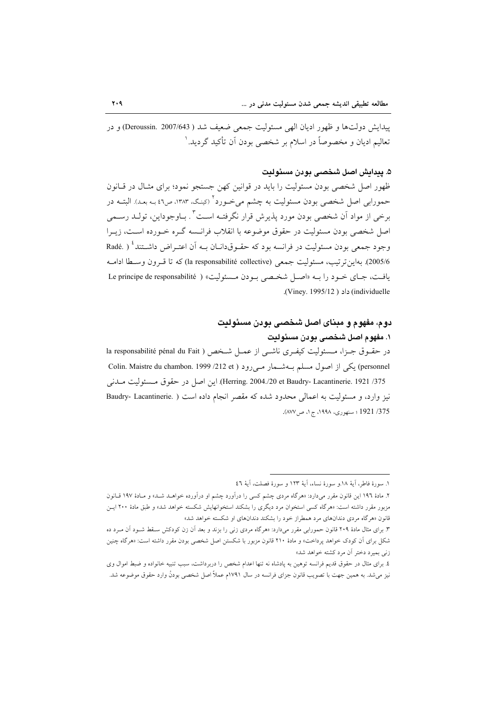ييدايش دولتها و ظهور اديان الهي مسئوليت جمعي ضعيف شد ( Deroussin. 2007/643) و در تعالیم ادیان و مخصوصاً در اسلام بر شخصی بودن آن تأکید گردید. ا

# ۵. يىداىش اصل شخصى بودن مسئولىت

ظهور اصل شخصی بودن مسئولیت را باید در قوانین کهن جستجو نمود؛ برای مثـال در قـانون حمورابی اصل شخصی بودن مسئولیت به چشم می خـورد <sup>۲</sup> (کینـگ، ۱۳۸۳، ص۶۲ بـه بعـد). البتــه در برخی از مواد آن شخصی بودن مورد پذیرش قرار نگرفتـه اسـت" . بـاوجوداین، تولـد رسـمی اصل شخصی بودن مسئولیت در حقوق موضوعه با انقلاب فرانسیه گیره خیورده است، زیبرا وجود جمعی بودن مسئولیت در فرانسه بود که حقـوقدانــان بــه اَن اعتــراض داشــتند ٔ ( .Radé 2005/6). بهاين ترتيب، مسئوليت جمعي (la responsabilité collective) كه تا قبرون وسيطا اداميه يافت، جماى خـود را بـه «اصـل شخـصى بـودن مـسئوليت» ( Le principe de responsabilité (individuelle) داد ( Viney, 1995/12).

# دوم، مفهوم و مبنای اصل شخصی بودن مسئولیت ١. مفهوم اصل شخصى بودن مسئولدت

در حقبوق جبزا، مسئوليت كيف ي ناشبي از عميل شخص ( la responsabilité pénal du Fait personnel) یکی از اصول مسلم بـهشــمار مـیرود ( Colin. Maistre du chambon. 1999 /212 et Herring. 2004./20 et Baudry- Lacantinerie. 1921 /375). اين اصل در حقوق مسئوليت ملدني نیز وارد، و مسئولیت به اعمالی محدود شده که مقصر انجام داده است ( .Baudry- Lacantinerie 375/ 1921 ؛ سنهوري، ١٩٩٨، ج ١، ص ٨٧٧).

١. سورة فاطر، آية ١٨.و سورة نساء، آية ١٢٣ و سورة فصلت، آية ٤٦

۲. مادهٔ ۱۹۲ این قانون مقرر میدارد: «هرگاه مردی چشم کسی را درآورد چشم او درآورده خواهــد شــد» و مــادهٔ ۱۹۷ قــانون مزبور مقرر داشته است: «هرگاه کسی استخوان مرد دیگری را بشکند استخوانهایش شکسته خواهد شد» و طبق مادهٔ ۲۰۰ ایــن قانون «هرگاه مردی دندانهای مرد همطراز خود را بشکند دندانهای او شکسته خواهد شد»

۳. برای مثال مادهٔ ۲۰۹ قانون حمورابی مقرر میدارد: «هرگاه مردی زنی را بزند و بعد آن زن کودکش سـقط شـود آن مـرد ده شکل برای آن کودک خواهد پرداخت» و مادهٔ ۲۱۰ قانون مزبور با شکستن اصل شخصی بودن مقرر داشته است: «هرگاه چنین زنی بمیرد دختر آن مرد کشته خواهد شد»

٤. برای مثال در حقوق قدیم فرانسه توهین به پادشاه نه تنها اعدام شخص را دربرداشت، سبب تنبیه خانواده و ضبط اموال وی نیز میشد. به همین جهت با تصویب قانون جزای فرانسه در سال ۱۷۹۱م عملاً اصل شخصی بودنْ وارد حقوق موضوعه شد.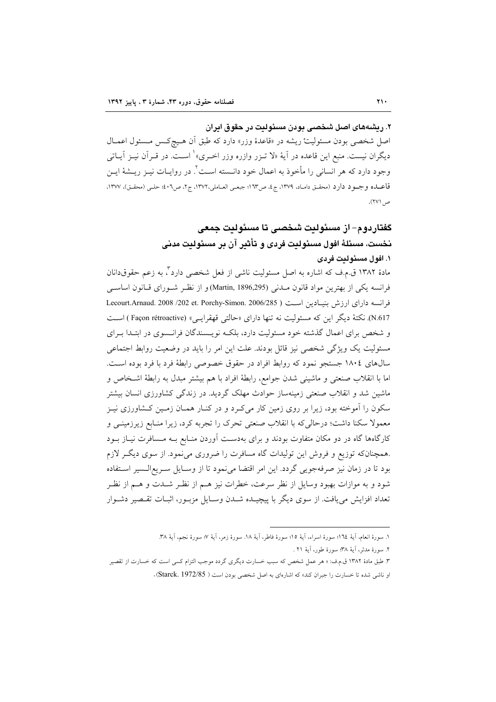# ۲. ريشههاي اصل شخصي پودن مسئوليت در حقوق ايران

اصل شخصی بودن مسئولیتْ ریشه در «قاعدهٔ وزر» دارد که طبق اَن هـیچکـس مـسئول اعمــال دیگران نیست. منبع این قاعده در آیهٔ «لا تــزر وازره وزر اخــری» ٰ اســت. در قــراَن نیــز اَیــاتمی وجود دارد که هر انسانی را مأخوذ به اعمال خود دانــسته اسـت'. در روایــات نیــز ریــشهٔ ایــن قاعـــاده وجــود دارد (محقــق دامــاد، ١٣٧٩، ج٤، ص١٦٣؛ جبعــي العــاملي،١٣٧٢، ج٢، ص٢٠٢؛ حلــي (محقــق)، ١٣٧٧، ص ۲۷۱).

# گفتاردوم– از مسئولیت شخصی تا مسئولیت جمعی نخست، مسئلةَ افولِ مسئوِلِيت فرييٍ و تأثير آن بر مسئوِلِيت مدنى

#### ۱. افول مسئوليت فردي

مادهٔ ۱۳۸۲ ق.م.ف که اشاره به اصل مسئولیت ناشی از فعل شخصی دارد ٌ، به زعم حقوقدانان فرانسه يكي از بهترين مواد قانون مــدني (Martin, 1896,295) و از نظـر شــوراي قــانون اساســي فرانسه داراي ارزش بنيبادين است ( 2006/285 .Lecourt.Arnaud. 2008 /202 et. Porchy-Simon. 2006/285 N.617). نكتهٔ دیگر این كه مسئولیت نه تنها دارای «حالتی قهقرایی» (Façon rétroactive) است و شخص برای اعمال گذشته خود مسئولیت دارد، بلکـه نویـسندگان فرانـسوی در ابتـدا بـرای مسئولیت یک ویژگی شخصی نیز قائل بودند. علت این امر را باید در وضعیت روابط اجتماعی سال های ١٨٠٤ جستجو نمود كه روابط افراد در حقوق خصوصی رابطهٔ فرد با فرد بوده است. اما با انقلاب صنعتي و ماشيني شدن جوامع، رابطة افراد با هم بيشتر مبدل به رابطة اشـخاص و ماشین شد و انقلاب صنعتی زمینهساز حوادث مهلک گردید. در زندگی کشاورزی انسان بیشتر سکون را آموخته بود، زیرا بر روی زمین کار میکرد و در کنـار همـان زمـین کـشاورزی نیـز معمولا سکنا داشت؛ درحالی که با انقلاب صنعتی تحرک را تجربه کرد، زیرا منـابع زیرزمینـی و کارگاهها گاه در دو مکان متفاوت بودند و برای بهدست آوردن منـابع بـه مـسافرت نيـاز بـود همچنانکه توزیع و فروش این تولیدات گاه مسافرت را ضروری می نمود. از سوی دیگـر لازم بود تا در زمان نیز صرفهجویی گردد. این امر اقتضا می نمود تا از وسـایل سـریع|لـسیر اسـتفاده شود و به موازات بهبود وسایل از نظر سرعت، خطرات نیز هــم از نظـر شــدت و هــم از نظـر تعداد افزایش می یافت. از سوی دیگر با پیچیـده شـدن وسـایل مزبـور، اثبـات تقـصیر دشـوار

١. سورة انعام، آية ١٦٤؛ سورة اسراء، آية ١٥؛ سورة فاطر، آية ١٨. سورة زمر، آية ٧؛ سورة نجم، آية ٣٨.

٢. سورة مدثر، أيهٔ ٣٨؛ سورة طور، أيهٔ ٢١ .

۳. طبق مادهٔ ۱۳۸۲ ق.م.ف: « هر عمل شخص که سبب خسارت دیگری گردد موجب التزام کسی است که خسارت از تقصیر او ناشی شده تا خسارت را جبران کند» که اشارهای به اصل شخصی بودن است ( Starck. 1972/85).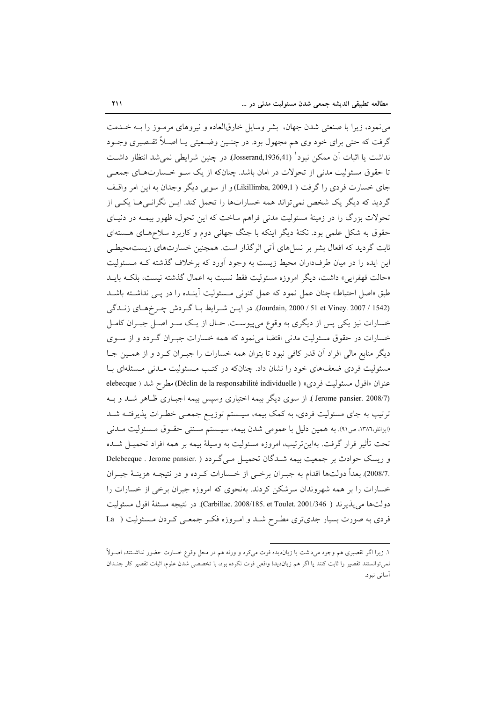می نمود، زیرا با صنعتی شدن جهان، بشر وسایل خارقالعاده و نیروهای مرمـوز را بـه خــدمت گرفت که حتی برای خود وی هم مجهول بود. در چنـین وضـعیتی یـا اصـلاً تقـصیری وجـود نداشت یا اثبات اَن ممکن نبود ْ (Josserand,1936,41). در چنین شرایطی نمی شد انتظار داشـت تا حقوق مسئولیت مدنی از تحولات در امان باشد. چنانکه از یک سـو خـسارتهـای جمعـی جای خسارت فردی را گرفت ( Likillimba, 2009,1)و از سویی دیگر وجدان به این امر واقتف گردید که دیگر یک شخص نمی تواند همه خساراتها را تحمل کند. ایــن نگرانـی هــا یکــی از تحولات بزرگ را در زمینهٔ مسئولیت مدنی فراهم ساخت که این تحول، ظهور بیمـه در دنیـای حقوق به شکل علمی بود. نکتهٔ دیگر اینکه با جنگ جهانی دوم و کاربرد سلاحهای هستهای ثابت گردید که افعال بشر بر نسلهای آتی اثرگذار است. همچنین خسارتهای زیستهحیطی این ایده را در میان طرفداران محیط زیست به وجود آورد که برخلاف گذشته کـه مـسئولیت «حالت قهقرايي» داشت، ديگر امروزه مسئوليت فقط نسبت به اعمال گذشته نيست، ىلكـه بابــد طبق «اصل احتیاط» چنان عمل نمود که عمل کنونی مسئولیت آینـده را در پـبی نداشـته باشـد (Jourdain, 2000 / 51 et Viney. 2007 / 1542). در اين شرايط با گردش چرخهاي زندگي خسارات نیز یکی پس از دیگری به وقوع میپیوست. حـال از یـک سـو اصـل جبـران کامـل خسارات در حقوق مسئولیت مدنی اقتضا می نمود که همه خسارات جبـران گـردد و از سـوی دیگر منابع مالی افراد آن قدر کافی نبود تا بتوان همه خسارات را جبـران کـرد و از همـین جـا مسئولیت فردی ضعفهای خود را نشان داد. چنانکه در کتب مـسئولیت مـدنی مـسئلهای بـا عنوان «افول مسئوليت فردي» ( Déclin de la responsabilité individuelle) مطرح شد ( elebecque (Jerome pansier. 2008/7). از سوی دیگر بیمه اختیاری وسپس بیمه اجباری ظاهر شد و بـه ترتیب به جای مسئولیت فردی، به کمک بیمه، سیـستم توزیـع جمعـی خطـرات پذیرفتـه شـد (ايزانلو،١٣٨٦، ص٩١). به همين دليل با عمومي شدن بيمه، سيسستم سـنتي حقـوق مـسئوليت مـدني تحت تأثير قرار گرفت. بهاينترتيب، امروزه مسئوليت به وسيلهٔ بيمه بر همه افراد تحميـل شــده و ریسک حوادث بر جمعیت بیمه شدگان تحمیل میگردد ( .Delebecque . Jerome pansier .2008/7) بعداً دولتها اقدام به جبـران برخــي از خــسارات كـرده و در نتيجــه هزينــهٔ جبــران خسارات را بر همه شهروندان سرشکن کردند. بهنحوی که امروزه جبران برخی از خسارات را دولتها مي يذير ند ( Carbillac. 2008/185. et Toulet. 2001/346). در نتيجه مسئلة افول مسئوليت فردي به صورت بسيار جدي تري مطـرح شـد و امـروزه فكـر جمعـي كـردن مـسئوليت ( La

۱. زیرا اگر تقصیری هم وجود می(داشت یا زیان‹یده فوت می/د و ورثه هم در محل وقوع خسارت حضور نداشتند، اصـولاً نمي توانستند تقصير را ثابت كنند يا اگر هم زيانديدهٔ واقعي فوت نكرده بود، با تخصصي شدن علوم، اثبات تقصير كار چنـدان أسانى نبود.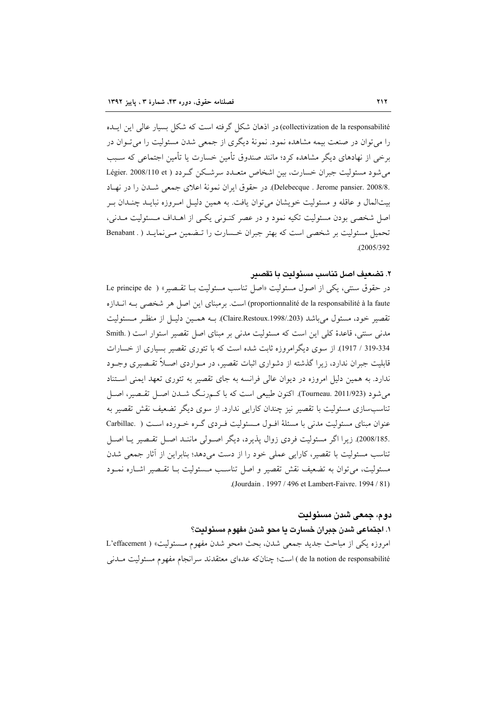collectivization de la responsabilité) در اذهان شکل گر فته است که شکل بسیار عالی این ایـده را می توان در صنعت بیمه مشاهده نمود. نمونهٔ دیگری از جمعی شدن مسئولیت را می تـوان در برخی از نهادهای دیگر مشاهده کرد؛ مانند صندوق تأمین خسارت یا تأمین اجتماعی که سبب می شود مسئولیت جیران خسارت، بین اشخاص متعبدد سرشیکن گیردد ( Légier. 2008/110 et .Delebecque . Jerome pansier. 2008/8. در حقوق ايران نمونة اعلاي جمعي شـدن را در نهـاد بیتالمال و عاقله و مسئولیت خویشان می توان یافت. به همین دلیـل امـروزه نبایــد چنــدان بـر اصل شخصی بودن مسئولیت تکیه نمود و در عصر کنـونی یکـی از اهـداف مـسئولیت مـدنی، تحمیل مسئولیت بر شخصی است که بهتر جبران خـسارت را تـضمین مـی نمایـد ( . Benabant  $(2005/392)$ 

#### ٢. تضعنف اصل تناسب مسئوليت با تقصير

در حقوق سنتي، يكي از اصول مسئوليت «اصل تناسب مسئوليت بــا تقــصير» ( Le principe de proportionnalité de la responsabilité à la faute) است. برمبناي اين اصل هر شخصي بـه انـدازه تقصير خود، مسئول مي باشد (Claire.Restoux.1998/.203). بــه همـين دليـل از منظـر مـسئوليت مدنی سنتی، قاعدهٔ کلی این است که مسئولیت مدنی بر مبنای اصل تقصیر استوار است ( .Smith 319-334 / 1917). از سوی دیگر امروزه ثابت شده است که با تئوری تقصیر بسیاری از خسارات قابلیت جبران ندارد، زیرا گذشته از دشواری اثبات تقصیر، در مـواردی اصـلاً تقـصیری وجـود ندارد. به همین دلیل امروزه در دیوان عالی فرانسه به جای تقصیر به تئوری تعهد ایمنی استناد می شود (Tourneau. 2011/923). اکنون طبیعی است که با کسمرنگ شـدن اصـل تقـصیر، اصـل تناسبِسازی مسئولیت با تقصیر نیز چندان کارایی ندارد. از سوی دیگر تضعیف نقش تقصیر به عنوان مبنای مسئولیت مدنی با مسئلهٔ افـول مـسئولیت فـردی گـره خـورده اسـت ( .Carbillac .2008/185). زيرا اگر مسئوليت فردي زوال پذيرد، ديگر اصولي ماننـد اصـل تقـصير يـا اصـل تناسب مسئولیت با تقصیر، کارایی عملی خود را از دست میدهد؛ بنابراین از آثار جمعی شدن مسئوليت، مي توان به تضعيف نقش تقصير و اصل تناسب مـسئوليت بــا تقـصير اشــاره نمــود (Jourdain, 1997 / 496 et Lambert-Faivre, 1994 / 81).

# دوم، جمعی شدن مسئولیت

١. اجتماعي شدن جبران خسارت يا محو شدن مفهوم مسئوليت؟ امروزه يكي از مباحث جديد جمعي شدن، بحث «محو شدن مفهوم مـسئوليت» ( L'effacement de la notion de responsabilité ) است؛ چنانکه عدمای معتقدند سرانجام مفهوم مسئولیت مــدنبي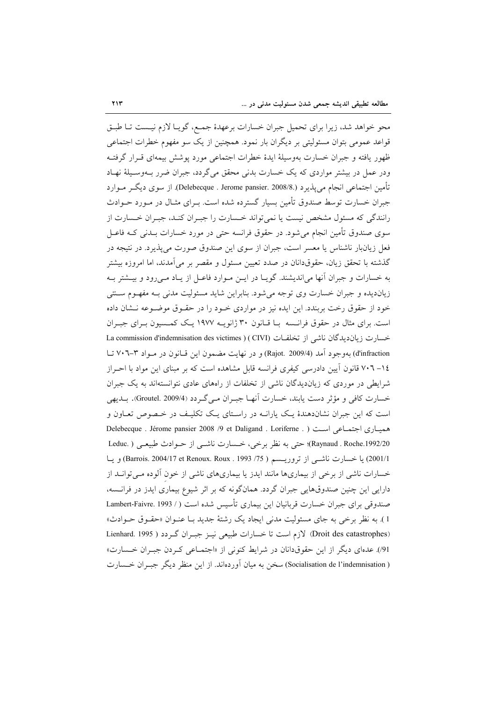محو خواهد شد، زيرا براي تحميل جبران خسارات برعهدهٔ جمع، گويـا لازم نيـست تـا طبـق قواعد عمومي بتوان مسئوليتي بر ديگران بار نمود. همچنين از يک سو مفهوم خطرات اجتماعي ظهور يافته و جبران خسارت بهوسيلة ايدة خطرات اجتماعي مورد پوشش بيمهاي قـرار گرفتـه ودر عمل در بیشتر مواردی که یک خسارت بدنی محقق می گردد، جبران ضرر بــهوسـیلهٔ نهـاد تأمين اجتماعي انجام مي يذير د (.Delebecque . Jerome pansier. 2008/8). از سوي ديگــر مــوارد جبران خسارت توسط صندوق تأمین بسیار گسترده شده است. بـرای مثـال در مـورد حـوادث رانندگی که مسئول مشخص نیست یا نمی تواند خـسارت را جبـران کنـد، جبـران خـسارت از سوی صندوق تأمین انجام می شود. در حقوق فرانسه حتی در مورد خسارات بــدنی کــه فاعــل فعل زیانبار ناشناس یا معسر است، جبران از سوی این صندوق صورت می پذیرد. در نتیجه در گذشته با تحقق زیان، حقوقدانان در صدد تعیین مسئول و مقصر بر میآمدند، اما امروزه بیشتر به خسارات و جبران آنها می|ندیشند. گویـا در ایــن مــوارد فاعــل از یــاد مــی رود و بیــشتر بــه زیاندیده و جبران خسارت وی توجه میشود. بنابراین شاید مسئولیت مدنی بـه مفهـوم سـنتی خود از حقوق رخت بربندد. این ایده نیز در مواردی خـود را در حقـوق موضـوعه نـشان داده است. برای مثال در حقوق فرانسه بـا قـانون ۳۰ ژانویـه ۱۹۷۷ یـک کمـسیون بـرای جبـران خسارت زيان ديدگان ناشي از تخلفـات (CIVI) ( La commission d'indemnisation des victimes d'infraction) بهوجود آمد (Rajot. 2009/4) و در نهایت مضمون این قـانون در مـواد ۳-۷۰۲ تـا ۰۱٤– ۷۰۲ قانون آيين دادرسي كيفري فرانسه قابل مشاهده است كه بر مبناي اين مواد با احـراز شرایطی در موردی که زیاندیدگان ناشی از تخلفات از راههای عادی نتوانستهاند به یک جبران خسارت كافي و مؤثر دست يابند، خسارت أنهـا جبـران مـي گـردد (Groutel. 2009/4). بــديهي است که این جبران نشاندهندهٔ یک پارانــه در راسـتای یـک تکلیـف در خـصوص تعــاون و Delebecque . Jérome pansier 2008 /9 et Daligand . Loriferne . ) حتماعي است ( (Raynaud . Roche.1992/20)؛ حتى به نظر برخى، خـسارت ناشــى از حــوادث طبيعــى ( .Leduc 2001/1) يا خسارت ناشـي از تروريـسم ( 75/ Harrois. 2004/17 et Renoux. Roux . 1993) و يـا خسارات ناشی از برخی از بیماریها مانند ایدز یا بیماریهای ناشی از خون آلوده میتوانـد از دارایی این چنین صندوقهایی جبران گردد. همانگونه که بر اثر شیوع بیماری ایدز در فرانسه، صندوقی برای جبران خسارت قربانیان این بیماری تأسیس شده است ( / Lambert-Faivre. 1993 1). به نظر برخی به جای مسئولیت مدنی ایجاد یک رشتهٔ جدید بـا عنـوان «حقـوق حـوادث» (Droit des catastrophes) لازم است تا خسارات طبیعی نیـز جبـران گـردد ( Lienhard. 1995 91). عدمای دیگر از این حقوقدانان در شرایط کنونی از «اجتمـاعی کـردن جبـران خـسارت» ( Socialisation de l'indemnisation) سخن به میان آوردهاند. از این منظر دیگر جب ان خـسارت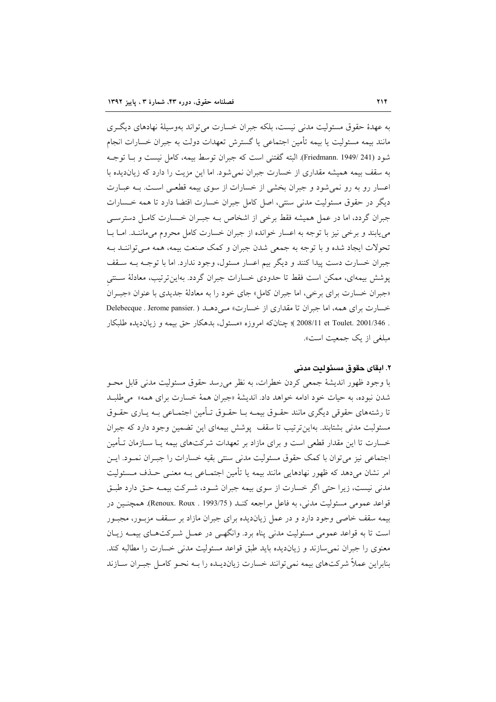به عهدهٔ حقوق مسئولیت مدنی نیست، بلکه جبران خسارت می تواند بهوسیلهٔ نهادهای دیگ ی مانند بيمه مسئوليت يا بيمه تأمين اجتماعي يا گسترش تعهدات دولت به جبران خسارات انجام شود (241 /Friedmann. 1949). البته گفتنی است که جبران توسط بیمه، کامل نیست و بـا توجـه به سقف بیمه همیشه مقداری از خسارت جبران نمی شود. اما این مزیت را دارد که زیاندیده با اعسار رو به رو نمی شود و جبران بخشی از خسارات از سوی بیمه قطعـی اسـت. بـه عبــارت دیگر در حقوق مسئولیت مدنی سنتی، اصل کامل جبران خسارت اقتضا دارد تا همه خــسارات جبران گردد، اما در عمل همیشه فقط برخی از اشخاص بـه جبـران خـسارت کامـل دسترسـی می پابند و برخی نیز با توجه به اعسار خوانده از جبران خسارت کامل محروم می ماننـد. امــا بــا تحولات ايجاد شده و با توجه به جمعي شدن جبران و كمك صنعت بيمه، همه مـي تواننـد بـه جبران خسارت دست پیدا کنند و دیگر بیم اعسار مسئول، وجود ندارد. اما با توجـه بـه سـقف یوشش بیمهای، ممکن است فقط تا حدودی خسارات جبران گردد. بهاین ترتیب، معادلهٔ سـنتی «جبران خسارت براي برخي، اما جبران كامل» جاي خود را به معادلهٔ جديدي با عنوان «جبـران خسارت برای همه، اما جبران تا مقداری از خسارت» مـی دهـد ( .Delebecque . Jerome pansier . 2001/346 .Doulet. 2001/346 )؛ چنانکه امروزه «مسئول، بدهکار حق بیمه و زیاندیده طلبکار مبلغي از يک جمعيت است».

#### ٢. ابقاي حقوق مسئوليت مدنى

با وجود ظهور انديشهٔ جمعي كردن خطرات، به نظر مي رسد حقوق مسئوليت مدنى قابل محــو شدن نبوده، به حیات خود ادامه خواهد داد. اندیشهٔ «جبران همهٔ خسارت برای همه» می طلبد تا رشتههای حقوقی دیگری مانند حقـوق بیمـه بــا حقـوق تــأمین اجتمــاعی بــه یــاری حقــوق مسئولبت مدنی بشتابند. بهاین ترتیب تا سقف پوشش بیمهای این تضمین وجود دارد که جبران خسارت تا این مقدار قطعی است و برای مازاد بر تعهدات شرکتهای بیمه یـا ســازمان تــأمین اجتماعي نيز مي توان با كمك حقوق مسئوليت مدنى سنتى بقيه خسارات را جبـران نمـود. ايـن امر نشان می،دهد که ظهور نهادهایی مانند بیمه یا تأمین اجتمـاعی بـه معنـی حـذف مـسئولیت مدنی نیست، زیرا حتی اگر خسارت از سوی بیمه جبران شـود، شـرکت بیمـه حـق دارد طبـق قواعد عمومي مسئوليت مدني، به فاعل مراجعه كنـد ( Renoux. Roux . 1993/75). همچنـين در بیمه سقف خاصی وجود دارد و در عمل زیاندیده برای جبران مازاد بر سـقف مزبـور، مجبـور است تا به قواعد عمومی مسئولیت مدنی پناه برد. وانگهـی در عمـل شـرکتهـای بیمـه زیـان معنوی را جبران نمی سازند و زیاندیده باید طبق قواعد مسئولیت مدنی خسارت را مطالبه کند. بنابراین عملاً شرکتهای بیمه نمی توانند خسارت زیاندیـده را بـه نحـو کامـل جبـران ســازند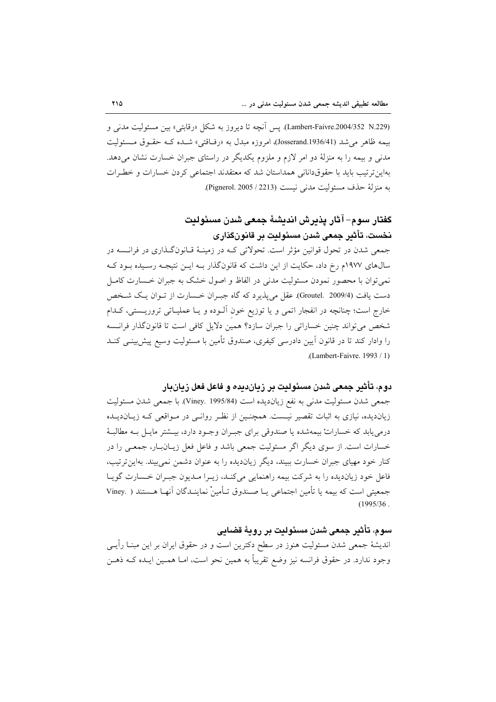(Lambert-Faivre.2004/352\_N.229). يس أنجه تا ديروز به شكل «رقابتي» بين مسئوليت مدني و بيمه ظاهر مي شد (Josserand.1936/41)، امروزه مبدل به «رفاقتي» شـده كـه حقـوق مـسئوليت مدنی و بیمه را به منزلهٔ دو امر لازم و ملزوم یکدیگر در راستای جبران خسارت نشان میدهد. بهاین ترتیب باید با حقوقدانانی همداستان شد که معتقدند اجتماعی کردن خسارات و خطـرات به منزلة حذف مسئوليت مدنى نيست (Pignerol. 2005 / 2213).

# كَفتار سوم– آثار پذيرش انديشهٔ جمعی شدن مسئوليت نخست، تأثير جمعي شدن مسئوليت بر قانونگذاري

جمعی شدن در تحول قوانین مؤثر است. تحولاتی کـه در زمینـهٔ قـانونگـذاری در فرانـسه در سالهای ۱۹۷۷م رخ داد، حکایت از این داشت که قانونگذار بـه ایـن نتیجـه رسـیده بـود کـه نمی توان با محصور نمودن مسئولیت مدنی در الفاظ و اصول خشک به جبران خـسارت کامـل دست یافت (4/Groutel. 2009). عقل میپذیرد که گاه جبـران خـسارت از تـوان یـک شـخص خارج است؛ چنانچه در انفجار اتمی و یا توزیع خون اَلـوده و یـا عملیـاتی تروریــستی، کـدام شخص می تواند چنین خساراتی را جبران سازد؟ همین دلایل کافی است تا قانونگذار فرانسه را وادار کند تا در قانون اّیین دادرسی کیفری، صندوق تأمین با مسئولیت وسیع پیش،پینـی کنــد .(Lambert-Faivre.  $1993/1$ )

## دوم، تأثير جمعي شدن مسئوليت بر زيان،ديده و فاعل فعل زيانبار

جمعي شدن مسئوليت مدني به نفع زيانديده است (Viney. 1995/84). با جمعي شدن مسئوليت زیاندیده، نیازی به اثبات تقصیر نیست. همچنین از نظر روانـی در مـواقعی کـه زیـاندیـلـه درمي يابد كه خساراتْ بيمهشده يا صندوقي براي جبـران وجـود دارد، بيــشتر مايـل بــه مطالبــهٔ خسارات است. از سوی دیگر اگر مسئولیت جمعی باشد و فاعل فعل زیـانبـار، جمعـی را در کنار خود مهبای جیران خسارت ببیند، دیگر زباندیده را به عنوان دشمن نمی بیند. بهاین ترتیب، فاعل خود زیاندیده را به شرکت بیمه راهنمایی میکنـد، زیـرا مـدیون جبـران خـسارت گویـا جمعيتي است كه بيمه يا تأمين اجتماعي يـا صـندوق تـأمينْ نماينــدگان أنهـا هــستند ( .Viney  $(1995/36)$ .

# سوم، تأثير جمعي شدن مسئوليت بر روية قضايي

اندیشهٔ جمعی شدن مسئولیت هنوز در سطح دکترین است و در حقوق ایران بر این مبنــا رأیــی وجود ندارد. در حقوق فرانسه نیز وضع تقریباً به همین نحو است، امـا همـین ایـده کـه ذهـن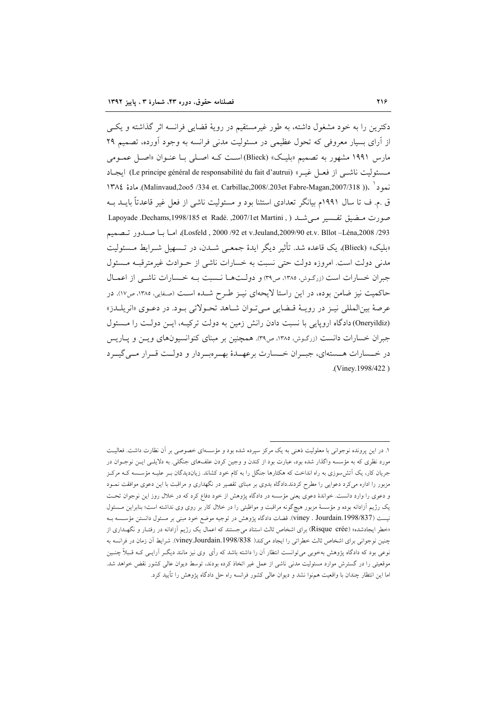دکترین را به خود مشغول داشته، به طور غیرمستقیم در رویهٔ قضایی فرانسه اثر گذاشته و یکبی از آرای بسیار معروفی که تحول عظیمی در مسئولیت مدنی فرانسه به وجود آورده، تصمیم ۲۹ مارس ۱۹۹۱ مشهور به تصمیم «بلیک» (Blieck)است کـه اصـلی بـا عنـوان «اصـل عمـومی مسئوليت ناشبي از فعبل غيبر» (Le principe général de responsabilité du fait d'autrui) ايجباد نمود".(Malinvaud,2005 /334 et. Carbillac,2008/.203et Fabre-Magan,2007/318). مادة ١٣٨٤ ق .م. ف تا سال ۱۹۹۱م بیانگر تعدادی استثنا بود و مسئولیت ناشی از فعل غیر قاعدتاً بایــد بــه صورت مضيق تفسير مي شد ( , Lapoyade .Dechams,1998/185 et Radé. ,2007/1et Martini Losfeld , 2000 /92 et v.Jeuland,2009/90 et.v. Bllot –Léna,2008 /293)، اميا بيا صيدور تنصميم «بليک» (Blieck)، يک قاعده شد. تأثير ديگر ايدهٔ جمعے شـدن، در تـسهيل شـرايط مـسئوليت مدنی دولت است. امروزه دولت حتی نسبت به خسارات ناشی از حــوادث غیرمترقبــه مــسئول جبران خسارات است (زرگرش، ۱۳۸۵، ص۳۹) و دولتها نسبت بـه خـسارات ناشـی از اعمـال حاکمیت نیز ضامن بوده، در این راستا لایحهای نیـز طـرح شـده اسـت (صـفایی، ۱۳۸۵، ص١٧). در عرصهٔ بینالمللی نیـز در رویـهٔ قـضایی مـیتوان شـاهد تحـولاتی بـود. در دعـوی «انریلـدز» (Oneryildiz)دادگاه اروپایی با نسبت دادن رانش زمین به دولت ترکیـه، ایـن دولـت را مـسئول جبران خسارات دانست (زرگوش، ۱۳۸۵، ص۳۹). همچنین بر مبنای کنوانسیونهای ویس و پاریس در خــسارات هــستهاي، جبــران خــسارت برعهــدهٔ بهــرهبــردار و دولــت قــرار مــي گيــرد .(Viney.1998/422)

۱. در این پرونده نوجوانی با معلولیت ذهنی به یک مرکز سپرده شده بود و مؤسسهای خصوصی بر آن نظارت داشت. فعالیت مورد نظری که به مؤسسه واگذار شده بود، عبارت بود از کندن و وجین کردن علفهای جنگلی. به دلایلـی ایــن نوجــوان در جریان کار، یک اَتش سوزی به راه انداخت که هکتارها جنگل را به کام خود کشاند. زیاندیدگان بـر علیـه مؤســسه کــه مرکــز مزبور را اداره میکرد دعوایی را مطرح کردند.دادگاه بدوی بر مبنای تقصیر در نگهداری و مراقبت با این دعوی موافقت نمـود و دعوی را وارد دانست. خواندهٔ دعوی یعنی مؤسسه در دادگاه پژوهش از خود دفاع کرد که در خلال روز این نوجوان تحت یک رژیم آزادانه بوده و مؤسسهٔ مزبور هیچگونه مراقبت و مواظبتی را در خلال کار بر روی وی نداشته است؛ بنابراین مسئول نيست (1998/837).Viney . Jourdain.1998 قضات دادگاه پژوهش در توجيه موضع خود مبني بر مسئول دانستن مؤسسه ب «خطر ایجادشده» (Risque crée) برای اشخاص ثالث استناد می جستند که اعمال یک رژیم آزادانه در رفتـار و نگهــداری از چنین نوجوانی برای اشخاص ثالث خطراتی را ایجاد میکند( viney.Jourdain.1998/838). شرایط آن زمان در فرانسه به نوعی بود که دادگاه پژوهش بهخوبی می توانست انتظار آن را داشته باشد که رأی وی نیز مانند دیگـر آرایـی کـه قـبلاً چنـین موقعیتی را در گسترش موارد مسئولیت مدنی ناشی از عمل غیر اتخاذ کرده بودند، توسط دیوان عالی کشور نقض خواهد شد. اما این انتظار چندان با واقعیت همهنوا نشد و دیوان عالمی کشور فرانسه راه حل دادگاه پژوهش را تأیید کرد.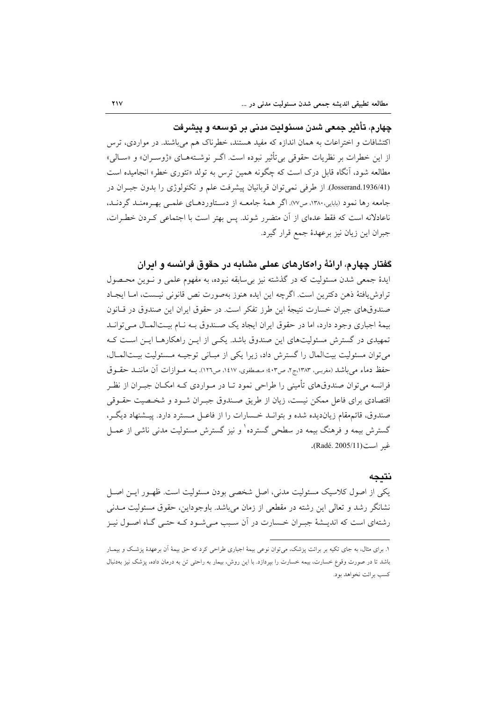# چهار م، تأثیر جمعی شدن مسئولیت مدنی پر توسعه و پیشرفت

اکتشافات و اختراعات به همان اندازه که مفید هستند، خطرناک هم می باشند. در مواردی، ترس از این خطرات بر نظریات حقوقی بی¤نثیر نبوده است. اگــر نوشــتههــای «ژوســران» و «ســالی» مطالعه شود، آنگاه قابل درک است که چگونه همین ترس به تولد «تئوری خطر» انجامیده است (Josserand.1936/41). از طرفی نمی توان قربانیان پیشرفت علم و تکنولوژی را بدون جب ان در جامعه رها نمود (بابایی،۱۳۸۰، ص۷۷). اگر همهٔ جامعــه از دسـتاوردهــای علمــی بهـر ممنــد گردنــد، ناعادلانه است كه فقط عدهاي از آن متضرر شوند. پس بهتر است با اجتماعي كـردن خطـرات، جبران این زیان نیز برعهدهٔ جمع قرار گیرد.

## گفتار چهارم، ارائهٔ راهکارهای عملی مشابه در حقوق فرانسه و ایران

ایدهٔ جمعی شدن مسئولیت که در گذشته نیز بی سابقه نبوده، به مفهوم علمی و نـوین محـصول تراوش يافتهٔ ذهن دكترين است. اگرچه اين ايده هنوز بهصورت نص قانوني نيـست، امـا ايجـاد صندوقهای جبران خسارت نتیجهٔ این طرز تفکر است. در حقوق ایران این صندوق در قیانون بیمهٔ اجباری وجود دارد، اما در حقوق ایران ایجاد یک صندوق بـه نـام بیــتالمـال مــی توانــد تمهیدی در گسترش مسئولیتهای این صندوق باشد. یکی از ایـن راهکارهـا ایـن اسـت کـه می توان مسئولیت بیتالمال را گسترش داد، زیرا یکی از مبانی توجیـه مـسئولیت بیـتالمـال، حفظ دماء مي باشد (مغرب) ١٣٨٣،ج٢، ص٣٠٢؛ مصطفوي، ١٤١٧، ص١٢٦). بــه مــوازات آن ماننــد حقــوق فرانسه می توان صندوقهای تأمینی را طراحی نمود تـا در مـواردی کـه امکــان جبـران از نظـر اقتصادی برای فاعل ممکن نیست، زیان از طریق صـندوق جبـران شـود و شخـصیت حقـوقی صندوق، قائمهقام زيانديده شده و بتوانـد خـسارات را از فاعـل مـسترد دارد. پيـشنهاد ديگـر، گسترش بیمه و فرهنگ بیمه در سطحی گسترده ٰ و نیز گسترش مسئولیت مدنی ناشی از عمــل غد است(Radé, 2005/11).

#### نتىحە

یکی از اصول کلاسیک مسئولیت مدنی، اصل شخصی بودن مسئولیت است. ظهـور ایــن اصــل نشانگر رشد و تعالی این رشته در مقطعی از زمان می باشد. باوجوداین، حقوق مسئولیت مــدنی رشتهای است که اندیـشهٔ جبـران خــسارت در اَن سـبب مـیشـود کــه حتـی گــاه اصــول نیـز

۱. برای مثال، به جای تکیه بر برائت پزشک، میتوان نوعی بیمهٔ اجباری طراحی کرد که حق بیمهٔ اَن برعهدهٔ پزشک و بیمـار باشد تا در صورت وقوع خسارت، بیمه خسارت را بپردازد. با این روش، بیمار به راحتی تن به درمان داده، پزشک نیز بهدنبال كسب برائت نخواهد بود.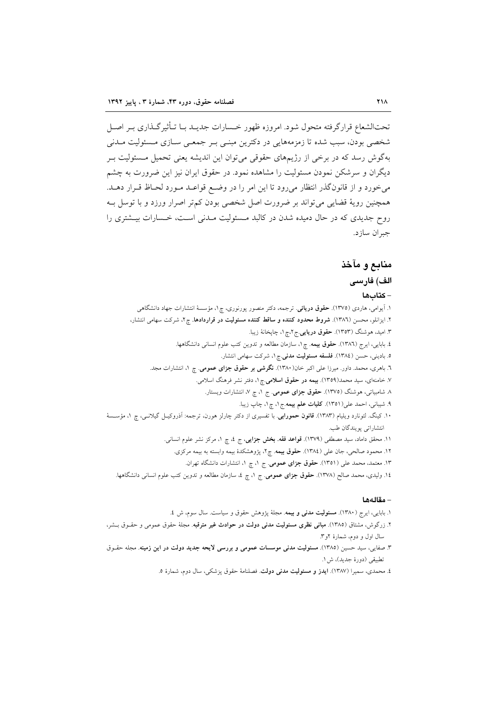تحتالشعاع قرارگرفته متحول شود. امروزه ظهور خـسارات جدیــد بــا تــأثیرگــذاری بــر اصــل شخصی بودن، سبب شده تا زمزمههایی در دکترین مبنبی بـر جمعـی سـازی مـسئولیت مـدنی بهگوش رسد که در برخی از رژیمهای حقوقی میتوان این اندیشه یعنی تحمیل مسئولیت بـر دیگران و سرشکن نمودن مسئولیت را مشاهده نمود. در حقوق ایران نیز این ضرورت به چشم می خورد و از قانون گذر انتظار می رود تا این امر را در وضع قواعـد مـورد لحـاظ قـرار دهـد. همچنین رویهٔ قضایی میتواند بر ضرورت اصل شخصی بودن کم تر اصرار ورزد و با توسل بـه روح جدیدی که در حال دمیده شدن در کالبد مـسئولیت مـدنی اسـت، خـسارات بیـشتری را جبران سازد.

# منابع و مآخذ

# الف) فارسى

#### - كتابها

۱. آیوامی، هاردی (۱۳۷۵). حقوق دریائی. ترجمه، دکتر منصور پورنوری، چ۱، مؤسسهٔ انتشارات جهاد دانشگاهی ۲. ایزانلو، محسن (۱۳۸٦). <mark>شروط محدود کننده و ساقط کننده مسئولیت در قراردادها.</mark> چ۲، شرکت سهامی انتشار، ۳. امید، هوشنگ (۱۳۵۳). **حقوق دریایی** ج۲،چ۱، چاپخانهٔ زیبا. ٤. بابایی، ایرج (١٣٨٦). حقوق بیمه. چ١، سازمان مطالعه و تدوین کتب علوم انسانی دانشگاهها. ۵. بادینی، حسن (١٣٨٤). **فلسفه مسئولیت مدنی**.چ۱، شرکت سهامی انتشار. ٦. باهری، محمد. داور. میرزا علی اکبر خان(۱۳۸۰). **نگرشی بر حقوق جزای عمومی**. چ ۱، انتشارات مجد. ۷. خامنهای، سید محمد(۱۳۵۹). بیمه در حقوق اسلامی چ ۱، دفتر نشر فرهنگ اسلامی. ٨ شامبیاتی، هوشنگ (١٣٧٥). حقوق جزای عمومی. ج ١، چ ٧، انتشارات ویستار. ٩. شيباني، احمد على(١٣٥١). كليات علم بيمه.ج ١، چ ١، چاپ زيبا. ۱۰. کینگ. لئونارد ویلیام (۱۳۸۳). **قانون حمورابی**. با تفسیری از دکتر چارلز هورن، ترجمه: اَذروکیــل گیلانــی، چ ۱، مؤســـسهٔ انتشاراتي يويندگان طب. ۱۱. محقق داماد، سید مصطفی (۱۳۷۹). **قواعد فقه. بخش جزایی**، ج ٤، چ ١، مرکز نشر علوم انسانی. ۱۲. محمود صالحی، جان علی (۱۳۸٤). حقوق بیمه. چ۲، پژوهشکدهٔ بیمه وابسته به بیمه مرکزی. ۱۳. معتمد، محمد علی (۱۳۵۱). حقوق جزای عمومی. ج ۱، چ ۱، انتشارات دانشگاه تهران. ١٤. وليدى، محمد صالح (١٣٧٨). حقوق جزاى عمومى. ج ١، چ ٤، سازمان مطالعه و تدوين كتب علوم انسانى دانشگاهها.

#### – مقالەھا

- ١. بابایی، ایرج (١٣٨٠). مسئولیت مدنی و بیمه. مجلهٔ پژوهش حقوق و سیاست. سال سوم، ش ٤.
- ۲. زرگوش، مشتاق (۱۳۸۵). **مبانی نظری مسئولیت مدنی دولت در حوادث غیر مترقبه**. مجلهٔ حقوق عمومی و حقــوق بــشر، سال اول و دوم، شمارهٔ ۲و۳.
- ۳. صفایی، سید حسین (۱۳۸۵). مسئولیت مدنی موسسات عمومی و بررسی لایحه جدید دولت در این زمینه. مجله حقـوق تطبيقي (دورهٔ جديد)، ش ۱.
	- ٤. محمدي، سميرا (١٣٨٧). ايدز و مسئوليت مدنى دولت. فصلنامهٔ حقوق پزشكي، سال دوم، شمارهٔ ٥.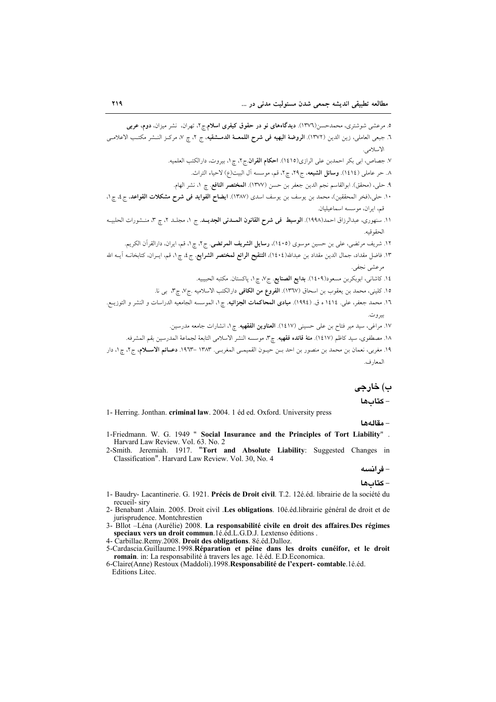ب) خارجى

# - كتاب ها

1- Herring. Jonthan. criminal law. 2004. 1 éd ed. Oxford. University press

- مقالهها

- 1-Friedmann. W. G. 1949 " Social Insurance and the Principles of Tort Liability". Harvard Law Review. Vol. 63. No. 2
- 2-Smith. Jeremiah. 1917. "Tort and Absolute Liability: Suggested Changes in Classification". Harvard Law Review. Vol. 30, No. 4

- فرانسه - كتابها

- 1- Baudry- Lacantinerie. G. 1921. Précis de Droit civil. T.2. 12é.éd. librairie de la société du recueil- siry
- 2- Benabant Alain. 2005. Droit civil .Les obligations. 10é.éd.librairie général de droit et de jurisprudence. Montchrestien
- 3- Bllot Léna (Aurélie) 2008. La responsabilité civile en droit des affaires. Des régimes<br>speciaux vers un droit commun. 1é. éd. L. G. D. J. Lextenso éditions.<br>4- Carbillac. Remy. 2008. Droit des obligations. 8é. éd. Dal
- 
- 5-Cardascia.Guillaume.1998.Réparation et péine dans les droits cunéifor, et le droit romain. in: La responsabilité à travers les age. 1é.éd. E.D. Economica.

<sup>6-</sup>Claire(Anne) Restoux (Maddoli).1998.Responsabilité de l'expert-comtable.1é.éd. Editions Litec.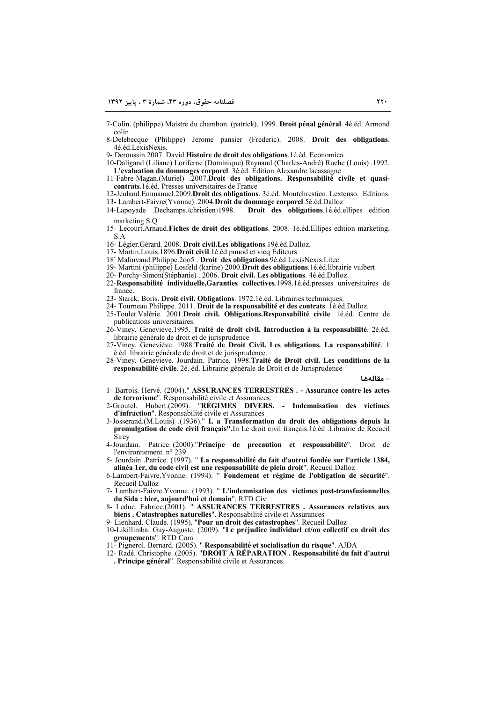7-Colin. (philippe) Maistre du chambon. (patrick). 1999. **Droit pénal général**. 4é.éd. Armond colin

8-Delebecque (Philippe) Jerome pansier (Frederic). 2008. **Droit des obligations**. 4é.éd.LexisNexis.

9- Deroussin.2007. David.**Histoire de droit des obligations**.1é.éd. Economica.

10-Daligand (Liliane) Loriferne (Dominique) Raynaud (Charles-André) Roche (Louis) .1992. **L'evaluation du dommages corporel**. 3é.éd. Edition Alexandre lacassagne

11-Fabre-Magan.(Muriel) .2007.**Droit des obligations. Responsabilité civile et quasicontrats**.1é.éd. Presses universitaires de France

12-Jeuland.Emmanuel.2009.**Droit des obligations**. 3é.éd. Montchrestien. Lextenso. Editions. 13- Lambert-Faivre(Yvonne) .2004.**Droit du dommage corporel**.5é.éd.Dalloz

- 14-Lapoyade .Dechamps.(christien)1998. **Droit des obligations**.1é.éd.ellipes edition marketing S.Q
- 15- Lecourt.Arnaud.**Fiches de droit des obligations**. 2008. 1é.éd.Ellipes edition marketing. S.A

16- Légier.Gérard. 2008. **Droit civil.Les obligations**.19é.éd.Dalloz.

17- Martin.Louis.1896.**Droit civil**.1é.éd.punod et vicq Éditeurs

18- Malinvaud.Philippe.2oo5 . **Droit des obligations**.9é.éd.LexisNexis.Litec

- 19- Martini (philippe) Losfeld (karine ) 2000.**Droit des obligations**.1é.éd.librairie vuibert
- 20- Porchy-Simon(Stéphanie) . 2006. **Droit civil. Les obligations**. 4é.éd.Dalloz
- 22-**Responsabilité individuelle,Garanties collectives**.1998.1é.éd.presses universitaires de france.
- 23- Starck. Boris. **Droit civil. Obligations**. 1972.1é.éd. Librairies technniques.

24- Tourneau.Philippe. 2011. **Droit de la responsabilité et des contrats**. 1é.éd.Dalloz.

- 25-Toulet.Valérie. 2001.**Droit civil. Obligations.Responsabilité civile**. 1é.éd. Centre de publications universitaires.
- 26-Viney. Geneviève.1995. **Traité de droit civil. Introduction à la responsabilité**. 2é.éd. librairie générale de droit et de jurisprudence
- 27-Viney. Geneviève. 1988.**Traité de Droit Civil. Les obligations. La responsabilité**. 1 é.éd. librairie générale de droit et de jurisprudence.
- 28-Viney. Genevieve. Jourdain. Patrice. 1998.**Traité de Droit civil. Les conditions de la responsabilité civile**. 2é. éd. Librairie générale de Droit et de Jurisprudence

 **> - -**

1- Barrois. Hervé. (2004)." **ASSURANCES TERRESTRES . - Assurance contre les actes**  de terrorisme". Responsabilité civile et Assurances.<br>Groutel. Hubert.(2009). "RÉGIMES DIVERS.

2-Groutel. Hubert.(2009). "**RÉGIMES DIVERS. - Indemnisation des victimes d'infraction**". Responsabilité civile et Assurances

- 3-Josserand.(M.Louis) .(1936)." **L a Transformation du droit des obligations depuis la promulgation de code civil français".**In Le droit civil français.1é.éd .Librairie de Recueil **Sirey**
- 4-Jourdain. Patrice. (2000)."**Principe de precaution et responsabilité**". Droit de l'environnement. n° 239
- 5- Jourdain .Patrice. (1997). " **La responsabilité du fait d'autrui fondée sur l'article 1384, alinéa 1er, du code civil est une responsabilité de plein droit**". Recueil Dalloz
- 6-Lambert-Faivre.Yvonne. (1994). " **Fondement et régime de l'obligation de sécurité**". Recueil Dalloz
- 7- Lambert-Faivre.Yvonne. (1993). " **L'indemnisation des victimes post-transfusionnelles du Sida : hier, aujourd'hui et demain**". RTD Civ

8- Leduc. Fabrice.(2001). " **ASSURANCES TERRESTRES . Assurances relatives aux biens . Catastrophes naturelles**". Responsabilité civile et Assurances

9- Lienhard. Claude. (1995). "**Pour un droit des catastrophes**". Recueil Dalloz

- 10-Likillimba. Guy-Auguste. (2009). "**Le préjudice individuel et/ou collectif en droit des groupements**". RTD Com
- 11- Pignerol. Bernard. (2005). " **Responsabilité et socialisation du risque**". AJDA
- 12- Radé. Christophe. (2005). "**DROIT À RÉPARATION . Responsabilité du fait d'autrui . Principe général**". Responsabilité civile et Assurances.